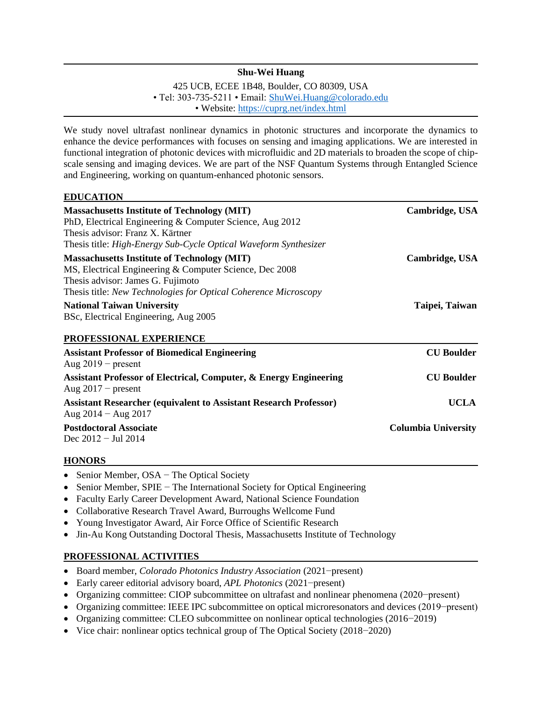## **Shu-Wei Huang**

425 UCB, ECEE 1B48, Boulder, CO 80309, USA • Tel: 303-735-5211 • Email: [ShuWei.Huang@colorado.edu](mailto:ShuWei.Huang@colorado.edu) • Website: <https://cuprg.net/index.html>

We study novel ultrafast nonlinear dynamics in photonic structures and incorporate the dynamics to enhance the device performances with focuses on sensing and imaging applications. We are interested in functional integration of photonic devices with microfluidic and 2D materials to broaden the scope of chipscale sensing and imaging devices. We are part of the NSF Quantum Systems through Entangled Science and Engineering, working on quantum-enhanced photonic sensors.

#### $EDIICATION$

| <b>Massachusetts Institute of Technology (MIT)</b><br>PhD, Electrical Engineering & Computer Science, Aug 2012                                | Cambridge, USA             |                                                      |                   |
|-----------------------------------------------------------------------------------------------------------------------------------------------|----------------------------|------------------------------------------------------|-------------------|
|                                                                                                                                               |                            | Thesis advisor: Franz X. Kärtner                     |                   |
| Thesis title: High-Energy Sub-Cycle Optical Waveform Synthesizer                                                                              |                            |                                                      |                   |
| <b>Massachusetts Institute of Technology (MIT)</b>                                                                                            | Cambridge, USA             |                                                      |                   |
| MS, Electrical Engineering & Computer Science, Dec 2008                                                                                       |                            |                                                      |                   |
| Thesis advisor: James G. Fujimoto                                                                                                             |                            |                                                      |                   |
| Thesis title: New Technologies for Optical Coherence Microscopy<br><b>National Taiwan University</b><br>BSc, Electrical Engineering, Aug 2005 | Taipei, Taiwan             |                                                      |                   |
|                                                                                                                                               |                            | PROFESSIONAL EXPERIENCE                              |                   |
|                                                                                                                                               |                            | <b>Assistant Professor of Biomedical Engineering</b> | <b>CU Boulder</b> |
| Aug $2019$ – present                                                                                                                          |                            |                                                      |                   |
| <b>Assistant Professor of Electrical, Computer, &amp; Energy Engineering</b>                                                                  | <b>CU</b> Boulder          |                                                      |                   |
| Aug $2017$ – present                                                                                                                          |                            |                                                      |                   |
| <b>Assistant Researcher (equivalent to Assistant Research Professor)</b>                                                                      | <b>UCLA</b>                |                                                      |                   |
| Aug $2014 -$ Aug $2017$                                                                                                                       |                            |                                                      |                   |
| <b>Postdoctoral Associate</b>                                                                                                                 | <b>Columbia University</b> |                                                      |                   |
| Dec $2012 -$ Jul 2014                                                                                                                         |                            |                                                      |                   |

### **HONORS xxxxxxxxxxxxxxxxxxxxxxxxxxxxxxxxxxxxxxxxxxxxxx xxxxxxx xx**

- Senior Member, OSA − The Optical Society
- Senior Member, SPIE − The International Society for Optical Engineering
- Faculty Early Career Development Award, National Science Foundation
- Collaborative Research Travel Award, Burroughs Wellcome Fund
- Young Investigator Award, Air Force Office of Scientific Research
- Jin-Au Kong Outstanding Doctoral Thesis, Massachusetts Institute of Technology

### PROFESSIONAL ACTIVITIES

- Board member, *Colorado Photonics Industry Association* (2021−present)
- Early career editorial advisory board, *APL Photonics* (2021−present)
- Organizing committee: CIOP subcommittee on ultrafast and nonlinear phenomena (2020−present)
- Organizing committee: IEEE IPC subcommittee on optical microresonators and devices (2019−present)
- Organizing committee: CLEO subcommittee on nonlinear optical technologies (2016−2019)
- Vice chair: nonlinear optics technical group of The Optical Society (2018−2020)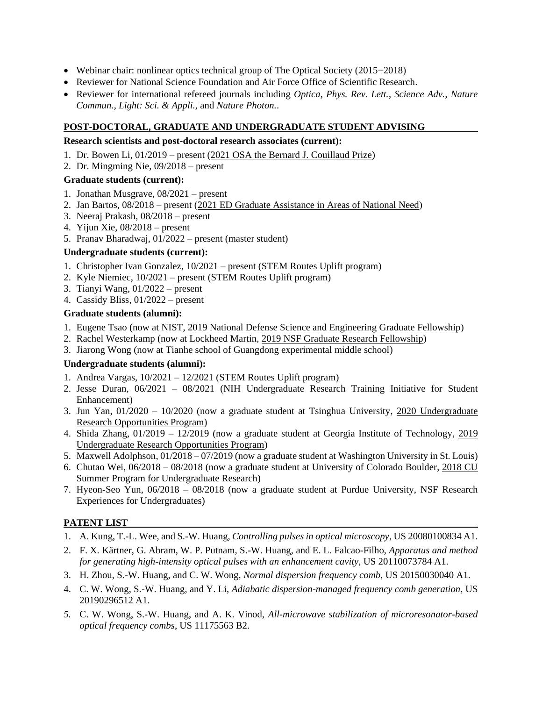- Webinar chair: nonlinear optics technical group of The Optical Society (2015−2018)
- Reviewer for National Science Foundation and Air Force Office of Scientific Research.
- Reviewer for international refereed journals including *Optica*, *Phys. Rev. Lett.*, *Science Adv.*, *Nature Commun.*, *Light: Sci. & Appli.*, and *Nature Photon.*.

# **POST-DOCTORAL, GRADUATE AND UNDERGRADUATE STUDENT ADVISING**

## **Research scientists and post-doctoral research associates (current):**

- 1. Dr. Bowen Li, 01/2019 present (2021 OSA the Bernard J. Couillaud Prize)
- 2. Dr. Mingming Nie, 09/2018 present

# **Graduate students (current):**

- 1. Jonathan Musgrave, 08/2021 present
- 2. Jan Bartos, 08/2018 present (2021 ED Graduate Assistance in Areas of National Need)
- 3. Neeraj Prakash, 08/2018 present
- 4. Yijun Xie, 08/2018 present
- 5. Pranav Bharadwaj, 01/2022 present (master student)

## **Undergraduate students (current):**

- 1. Christopher Ivan Gonzalez, 10/2021 present (STEM Routes Uplift program)
- 2. Kyle Niemiec, 10/2021 present (STEM Routes Uplift program)
- 3. Tianyi Wang, 01/2022 present
- 4. Cassidy Bliss, 01/2022 present

## **Graduate students (alumni):**

- 1. Eugene Tsao (now at NIST, 2019 National Defense Science and Engineering Graduate Fellowship)
- 2. Rachel Westerkamp (now at Lockheed Martin, 2019 NSF Graduate Research Fellowship)
- 3. Jiarong Wong (now at Tianhe school of Guangdong experimental middle school)

### **Undergraduate students (alumni):**

- 1. Andrea Vargas, 10/2021 12/2021 (STEM Routes Uplift program)
- 2. Jesse Duran, 06/2021 08/2021 (NIH Undergraduate Research Training Initiative for Student Enhancement)
- 3. Jun Yan, 01/2020 10/2020 (now a graduate student at Tsinghua University, 2020 Undergraduate Research Opportunities Program)
- 4. Shida Zhang, 01/2019 12/2019 (now a graduate student at Georgia Institute of Technology, 2019 Undergraduate Research Opportunities Program)
- 5. Maxwell Adolphson, 01/2018 07/2019 (now a graduate student at Washington University in St. Louis)
- 6. Chutao Wei, 06/2018 08/2018 (now a graduate student at University of Colorado Boulder, 2018 CU Summer Program for Undergraduate Research)
- 7. Hyeon-Seo Yun, 06/2018 08/2018 (now a graduate student at Purdue University, NSF Research Experiences for Undergraduates)

# **PATENT LIST**

- 1. A. Kung, T.-L. Wee, and S.-W. Huang, *Controlling pulses in optical microscopy*, US 20080100834 A1.
- 2. F. X. Kärtner, G. Abram, W. P. Putnam, S.-W. Huang, and E. L. Falcao-Filho, *Apparatus and method for generating high-intensity optical pulses with an enhancement cavity*, US 20110073784 A1.
- 3. H. Zhou, S.-W. Huang, and C. W. Wong, *Normal dispersion frequency comb*, US 20150030040 A1.
- 4. C. W. Wong, S.-W. Huang, and Y. Li, *Adiabatic dispersion-managed frequency comb generation*, US 20190296512 A1.
- *5.* C. W. Wong, S.-W. Huang, and A. K. Vinod, *All-microwave stabilization of microresonator-based optical frequency combs*, US 11175563 B2.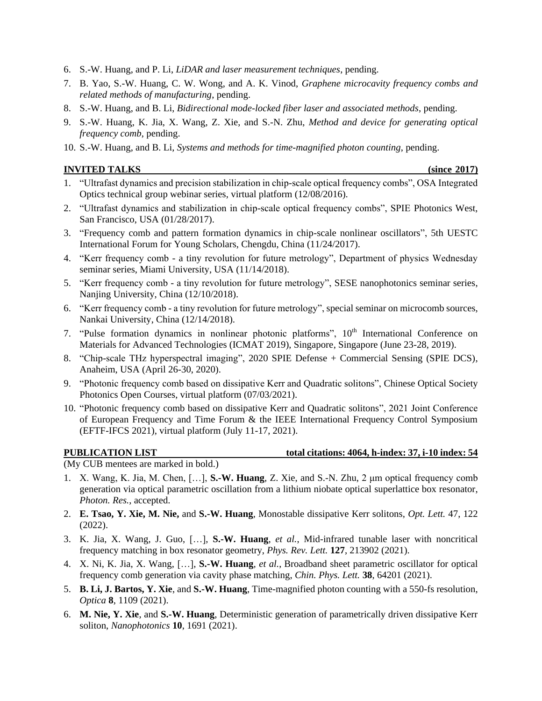- 6. S.-W. Huang, and P. Li, *LiDAR and laser measurement techniques*, pending.
- 7. B. Yao, S.-W. Huang, C. W. Wong, and A. K. Vinod, *Graphene microcavity frequency combs and related methods of manufacturing*, pending.
- 8. S.-W. Huang, and B. Li, *Bidirectional mode-locked fiber laser and associated methods*, pending.
- 9. S.-W. Huang, K. Jia, X. Wang, Z. Xie, and S.-N. Zhu, *Method and device for generating optical frequency comb*, pending.
- 10. S.-W. Huang, and B. Li, *Systems and methods for time-magnified photon counting*, pending.

### **INVITED TALKS** (since 2017)

- 1. "Ultrafast dynamics and precision stabilization in chip-scale optical frequency combs", OSA Integrated Optics technical group webinar series, virtual platform (12/08/2016).
- 2. "Ultrafast dynamics and stabilization in chip-scale optical frequency combs", SPIE Photonics West, San Francisco, USA (01/28/2017).
- 3. "Frequency comb and pattern formation dynamics in chip-scale nonlinear oscillators", 5th UESTC International Forum for Young Scholars, Chengdu, China (11/24/2017).
- 4. "Kerr frequency comb a tiny revolution for future metrology", Department of physics Wednesday seminar series, Miami University, USA (11/14/2018).
- 5. "Kerr frequency comb a tiny revolution for future metrology", SESE nanophotonics seminar series, Nanjing University, China (12/10/2018).
- 6. "Kerr frequency comb a tiny revolution for future metrology", special seminar on microcomb sources, Nankai University, China (12/14/2018).
- 7. "Pulse formation dynamics in nonlinear photonic platforms",  $10<sup>th</sup>$  International Conference on Materials for Advanced Technologies (ICMAT 2019), Singapore, Singapore (June 23-28, 2019).
- 8. "Chip-scale THz hyperspectral imaging", 2020 SPIE Defense + Commercial Sensing (SPIE DCS), Anaheim, USA (April 26-30, 2020).
- 9. "Photonic frequency comb based on dissipative Kerr and Quadratic solitons", Chinese Optical Society Photonics Open Courses, virtual platform (07/03/2021).
- 10. "Photonic frequency comb based on dissipative Kerr and Quadratic solitons", 2021 Joint Conference of European Frequency and Time Forum & the IEEE International Frequency Control Symposium (EFTF-IFCS 2021), virtual platform (July 11-17, 2021).

#### **PUBLICATION LIST** total citations: 4064, h-index: 37, i-10 index: 54

(My CUB mentees are marked in bold.)

- 1. X. Wang, K. Jia, M. Chen, […], **S.-W. Huang**, Z. Xie, and S.-N. Zhu, 2 μm optical frequency comb generation via optical parametric oscillation from a lithium niobate optical superlattice box resonator, *Photon. Res.*, accepted.
- 2. **E. Tsao, Y. Xie, M. Nie,** and **S.-W. Huang**, Monostable dissipative Kerr solitons, *Opt. Lett.* 47, 122 (2022).
- 3. K. Jia, X. Wang, J. Guo, […], **S.-W. Huang**, *et al.*, Mid-infrared tunable laser with noncritical frequency matching in box resonator geometry, *Phys. Rev. Lett.* **127**, 213902 (2021).
- 4. X. Ni, K. Jia, X. Wang, […], **S.-W. Huang**, *et al.*, Broadband sheet parametric oscillator for optical frequency comb generation via cavity phase matching, *Chin. Phys. Lett.* **38**, 64201 (2021).
- 5. **B. Li, J. Bartos, Y. Xie**, and **S.-W. Huang**, Time-magnified photon counting with a 550-fs resolution, *Optica* **8**, 1109 (2021).
- 6. **M. Nie, Y. Xie**, and **S.-W. Huang**, Deterministic generation of parametrically driven dissipative Kerr soliton, *Nanophotonics* **10**, 1691 (2021).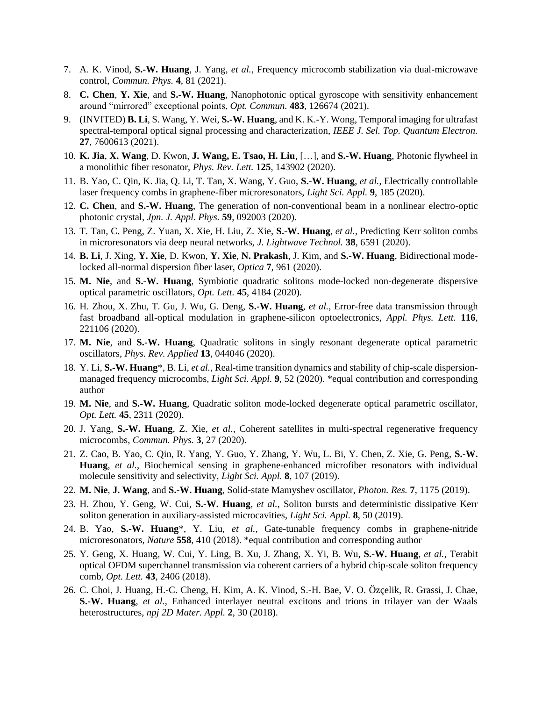- 7. A. K. Vinod, **S.-W. Huang**, J. Yang, *et al.*, Frequency microcomb stabilization via dual-microwave control, *Commun. Phys.* **4**, 81 (2021).
- 8. **C. Chen**, **Y. Xie**, and **S.-W. Huang**, Nanophotonic optical gyroscope with sensitivity enhancement around "mirrored" exceptional points, *Opt. Commun.* **483**, 126674 (2021).
- 9. (INVITED) **B. Li**, S. Wang, Y. Wei, **S.-W. Huang**, and K. K.-Y. Wong, Temporal imaging for ultrafast spectral-temporal optical signal processing and characterization, *IEEE J. Sel. Top. Quantum Electron.* **27**, 7600613 (2021).
- 10. **K. Jia**, **X. Wang**, D. Kwon, **J. Wang, E. Tsao, H. Liu**, […], and **S.-W. Huang**, Photonic flywheel in a monolithic fiber resonator, *Phys. Rev. Lett.* **125**, 143902 (2020).
- 11. B. Yao, C. Qin, K. Jia, Q. Li, T. Tan, X. Wang, Y. Guo, **S.-W. Huang**, *et al.*, Electrically controllable laser frequency combs in graphene-fiber microresonators, *Light Sci. Appl.* **9**, 185 (2020).
- 12. **C. Chen**, and **S.-W. Huang**, The generation of non-conventional beam in a nonlinear electro-optic photonic crystal, *Jpn. J. Appl. Phys.* **59**, 092003 (2020).
- 13. T. Tan, C. Peng, Z. Yuan, X. Xie, H. Liu, Z. Xie, **S.-W. Huang**, *et al.*, Predicting Kerr soliton combs in microresonators via deep neural networks, *J. Lightwave Technol.* **38**, 6591 (2020).
- 14. **B. Li**, J. Xing, **Y. Xie**, D. Kwon, **Y. Xie**, **N. Prakash**, J. Kim, and **S.-W. Huang**, Bidirectional modelocked all-normal dispersion fiber laser, *Optica* **7**, 961 (2020).
- 15. **M. Nie**, and **S.-W. Huang**, Symbiotic quadratic solitons mode-locked non-degenerate dispersive optical parametric oscillators, *Opt. Lett.* **45**, 4184 (2020).
- 16. H. Zhou, X. Zhu, T. Gu, J. Wu, G. Deng, **S.-W. Huang**, *et al.*, Error-free data transmission through fast broadband all-optical modulation in graphene-silicon optoelectronics, *Appl. Phys. Lett.* **116**, 221106 (2020).
- 17. **M. Nie**, and **S.-W. Huang**, Quadratic solitons in singly resonant degenerate optical parametric oscillators, *Phys. Rev. Applied* **13**, 044046 (2020).
- 18. Y. Li, **S.-W. Huang**\*, B. Li, *et al.*, Real-time transition dynamics and stability of chip-scale dispersionmanaged frequency microcombs, *Light Sci. Appl.* **9**, 52 (2020). \*equal contribution and corresponding author
- 19. **M. Nie**, and **S.-W. Huang**, Quadratic soliton mode-locked degenerate optical parametric oscillator, *Opt. Lett.* **45**, 2311 (2020).
- 20. J. Yang, **S.-W. Huang**, Z. Xie, *et al.*, Coherent satellites in multi-spectral regenerative frequency microcombs, *Commun. Phys.* **3**, 27 (2020).
- 21. Z. Cao, B. Yao, C. Qin, R. Yang, Y. Guo, Y. Zhang, Y. Wu, L. Bi, Y. Chen, Z. Xie, G. Peng, **S.-W. Huang**, *et al.*, Biochemical sensing in graphene-enhanced microfiber resonators with individual molecule sensitivity and selectivity, *Light Sci. Appl.* **8**, 107 (2019).
- 22. **M. Nie**, **J. Wang**, and **S.-W. Huang**, Solid-state Mamyshev oscillator, *Photon. Res.* **7**, 1175 (2019).
- 23. H. Zhou, Y. Geng, W. Cui, **S.-W. Huang**, *et al.*, Soliton bursts and deterministic dissipative Kerr soliton generation in auxiliary-assisted microcavities, *Light Sci. Appl.* **8**, 50 (2019).
- 24. B. Yao, **S.-W. Huang**\*, Y. Liu, *et al.*, Gate-tunable frequency combs in graphene-nitride microresonators, *Nature* **558**, 410 (2018). \*equal contribution and corresponding author
- 25. Y. Geng, X. Huang, W. Cui, Y. Ling, B. Xu, J. Zhang, X. Yi, B. Wu, **S.-W. Huang**, *et al.*, Terabit optical OFDM superchannel transmission via coherent carriers of a hybrid chip-scale soliton frequency comb, *Opt. Lett.* **43**, 2406 (2018).
- 26. C. Choi, J. Huang, H.-C. Cheng, H. Kim, A. K. Vinod, S.-H. Bae, V. O. Özçelik, R. Grassi, J. Chae, **S.-W. Huang**, *et al.*, Enhanced interlayer neutral excitons and trions in trilayer van der Waals heterostructures, *npj 2D Mater. Appl.* **2**, 30 (2018).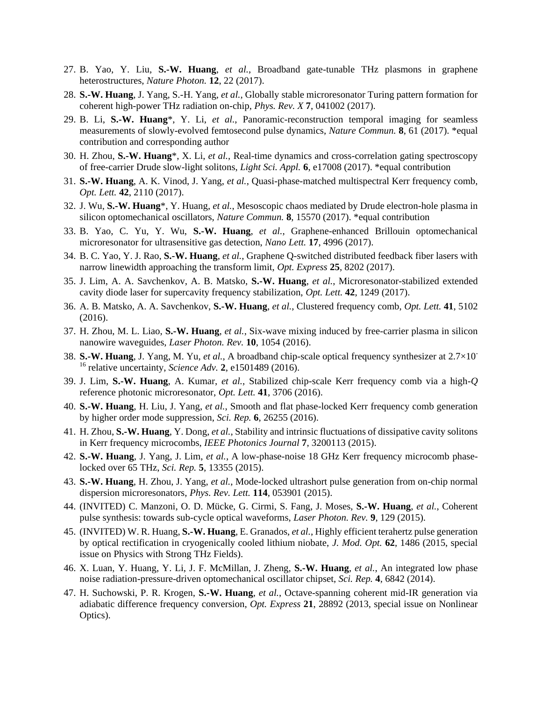- 27. B. Yao, Y. Liu, **S.-W. Huang**, *et al.*, Broadband gate-tunable THz plasmons in graphene heterostructures, *Nature Photon.* **12**, 22 (2017).
- 28. **S.-W. Huang**, J. Yang, S.-H. Yang, *et al.*, Globally stable microresonator Turing pattern formation for coherent high-power THz radiation on-chip, *Phys. Rev. X* **7**, 041002 (2017).
- 29. B. Li, **S.-W. Huang**\*, Y. Li, *et al.*, Panoramic-reconstruction temporal imaging for seamless measurements of slowly-evolved femtosecond pulse dynamics, *Nature Commun.* **8**, 61 (2017). \*equal contribution and corresponding author
- 30. H. Zhou, **S.-W. Huang**\*, X. Li, *et al.*, Real-time dynamics and cross-correlation gating spectroscopy of free-carrier Drude slow-light solitons, *Light Sci. Appl.* **6**, e17008 (2017). \*equal contribution
- 31. **S.-W. Huang**, A. K. Vinod, J. Yang, *et al.*, Quasi-phase-matched multispectral Kerr frequency comb, *Opt. Lett.* **42**, 2110 (2017).
- 32. J. Wu, **S.-W. Huang**\*, Y. Huang, *et al.*, Mesoscopic chaos mediated by Drude electron-hole plasma in silicon optomechanical oscillators, *Nature Commun.* **8**, 15570 (2017). \*equal contribution
- 33. B. Yao, C. Yu, Y. Wu, **S.-W. Huang**, *et al.*, Graphene-enhanced Brillouin optomechanical microresonator for ultrasensitive gas detection, *Nano Lett.* **17**, 4996 (2017).
- 34. B. C. Yao, Y. J. Rao, **S.-W. Huang**, *et al.*, Graphene Q-switched distributed feedback fiber lasers with narrow linewidth approaching the transform limit, *Opt. Express* **25**, 8202 (2017).
- 35. J. Lim, A. A. Savchenkov, A. B. Matsko, **S.-W. Huang**, *et al.*, Microresonator-stabilized extended cavity diode laser for supercavity frequency stabilization, *Opt. Lett.* **42**, 1249 (2017).
- 36. A. B. Matsko, A. A. Savchenkov, **S.-W. Huang**, *et al.*, Clustered frequency comb, *Opt. Lett.* **41**, 5102 (2016).
- 37. H. Zhou, M. L. Liao, **S.-W. Huang**, *et al.*, Six-wave mixing induced by free-carrier plasma in silicon nanowire waveguides, *Laser Photon. Rev.* **10**, 1054 (2016).
- 38. **S.-W. Huang**, J. Yang, M. Yu, *et al.*, A broadband chip-scale optical frequency synthesizer at 2.7×10- <sup>16</sup> relative uncertainty, *Science Adv.* **2**, e1501489 (2016).
- 39. J. Lim, **S.-W. Huang**, A. Kumar, *et al.*, Stabilized chip-scale Kerr frequency comb via a high-*Q* reference photonic microresonator, *Opt. Lett.* **41**, 3706 (2016).
- 40. **S.-W. Huang**, H. Liu, J. Yang, *et al.*, Smooth and flat phase-locked Kerr frequency comb generation by higher order mode suppression, *Sci. Rep.* **6**, 26255 (2016).
- 41. H. Zhou, **S.-W. Huang**, Y. Dong, *et al.*, Stability and intrinsic fluctuations of dissipative cavity solitons in Kerr frequency microcombs, *IEEE Photonics Journal* **7**, 3200113 (2015).
- 42. **S.-W. Huang**, J. Yang, J. Lim, *et al.*, A low-phase-noise 18 GHz Kerr frequency microcomb phaselocked over 65 THz, *Sci. Rep.* **5**, 13355 (2015).
- 43. **S.-W. Huang**, H. Zhou, J. Yang, *et al.*, Mode-locked ultrashort pulse generation from on-chip normal dispersion microresonators, *Phys. Rev. Lett.* **114**, 053901 (2015).
- 44. (INVITED) C. Manzoni, O. D. Mücke, G. Cirmi, S. Fang, J. Moses, **S.-W. Huang**, *et al.*, Coherent pulse synthesis: towards sub-cycle optical waveforms, *Laser Photon. Rev.* **9**, 129 (2015).
- 45. (INVITED) W. R. Huang, **S.-W. Huang**, E. Granados, *et al.*, Highly efficient terahertz pulse generation by optical rectification in cryogenically cooled lithium niobate, *J. Mod. Opt.* **62**, 1486 (2015, special issue on Physics with Strong THz Fields).
- 46. X. Luan, Y. Huang, Y. Li, J. F. McMillan, J. Zheng, **S.-W. Huang**, *et al.*, An integrated low phase noise radiation-pressure-driven optomechanical oscillator chipset, *Sci. Rep.* **4**, 6842 (2014).
- 47. H. Suchowski, P. R. Krogen, **S.-W. Huang**, *et al.*, Octave-spanning coherent mid-IR generation via adiabatic difference frequency conversion, *Opt. Express* **21**, 28892 (2013, special issue on Nonlinear Optics).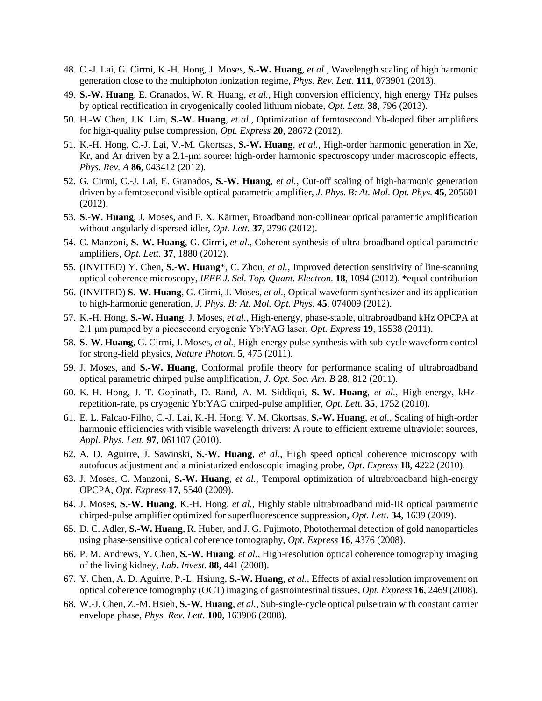- 48. C.-J. Lai, G. Cirmi, K.-H. Hong, J. Moses, **S.-W. Huang**, *et al.*, Wavelength scaling of high harmonic generation close to the multiphoton ionization regime, *Phys. Rev. Lett.* **111**, 073901 (2013).
- 49. **S.-W. Huang**, E. Granados, W. R. Huang, *et al.*, High conversion efficiency, high energy THz pulses by optical rectification in cryogenically cooled lithium niobate, *Opt. Lett.* **38**, 796 (2013).
- 50. H.-W Chen, J.K. Lim, **S.-W. Huang**, *et al.*, Optimization of femtosecond Yb-doped fiber amplifiers for high-quality pulse compression, *Opt. Express* **20**, 28672 (2012).
- 51. K.-H. Hong, C.-J. Lai, V.-M. Gkortsas, **S.-W. Huang**, *et al.*, High-order harmonic generation in Xe, Kr, and Ar driven by a 2.1-μm source: high-order harmonic spectroscopy under macroscopic effects, *Phys. Rev. A* **86**, 043412 (2012).
- 52. G. Cirmi, C.-J. Lai, E. Granados, **S.-W. Huang**, *et al.*, Cut-off scaling of high-harmonic generation driven by a femtosecond visible optical parametric amplifier, *J. Phys. B: At. Mol. Opt. Phys.* **45**, 205601 (2012).
- 53. **S.-W. Huang**, J. Moses, and F. X. Kärtner, Broadband non-collinear optical parametric amplification without angularly dispersed idler, *Opt. Lett.* **37**, 2796 (2012).
- 54. C. Manzoni, **S.-W. Huang**, G. Cirmi, *et al.*, Coherent synthesis of ultra-broadband optical parametric amplifiers, *Opt. Lett.* **37**, 1880 (2012).
- 55. (INVITED) Y. Chen, **S.-W. Huang**\*, C. Zhou, *et al.*, Improved detection sensitivity of line-scanning optical coherence microscopy, *IEEE J. Sel. Top. Quant. Electron.* **18**, 1094 (2012). \*equal contribution
- 56. (INVITED) **S.-W. Huang**, G. Cirmi, J. Moses, *et al.*, Optical waveform synthesizer and its application to high-harmonic generation, *J. Phys. B: At. Mol. Opt. Phys.* **45**, 074009 (2012).
- 57. K.-H. Hong, **S.-W. Huang**, J. Moses, *et al.*, High-energy, phase-stable, ultrabroadband kHz OPCPA at 2.1 μm pumped by a picosecond cryogenic Yb:YAG laser, *Opt. Express* **19**, 15538 (2011).
- 58. **S.-W. Huang**, G. Cirmi, J. Moses, *et al.*, High-energy pulse synthesis with sub-cycle waveform control for strong-field physics, *Nature Photon.* **5**, 475 (2011).
- 59. J. Moses, and **S.-W. Huang**, Conformal profile theory for performance scaling of ultrabroadband optical parametric chirped pulse amplification, *J. Opt. Soc. Am. B* **28**, 812 (2011).
- 60. K.-H. Hong, J. T. Gopinath, D. Rand, A. M. Siddiqui, **S.-W. Huang**, *et al.*, High-energy, kHzrepetition-rate, ps cryogenic Yb:YAG chirped-pulse amplifier, *Opt. Lett.* **35**, 1752 (2010).
- 61. E. L. Falcao-Filho, C.-J. Lai, K.-H. Hong, V. M. Gkortsas, **S.-W. Huang**, *et al.*, Scaling of high-order harmonic efficiencies with visible wavelength drivers: A route to efficient extreme ultraviolet sources, *Appl. Phys. Lett.* **97**, 061107 (2010).
- 62. A. D. Aguirre, J. Sawinski, **S.-W. Huang**, *et al.*, High speed optical coherence microscopy with autofocus adjustment and a miniaturized endoscopic imaging probe, *Opt. Express* **18**, 4222 (2010).
- 63. J. Moses, C. Manzoni, **S.-W. Huang**, *et al.*, Temporal optimization of ultrabroadband high-energy OPCPA, *Opt. Express* **17**, 5540 (2009).
- 64. J. Moses, **S.-W. Huang**, K.-H. Hong, *et al.*, Highly stable ultrabroadband mid-IR optical parametric chirped-pulse amplifier optimized for superfluorescence suppression, *Opt. Lett.* **34**, 1639 (2009).
- 65. D. C. Adler, **S.-W. Huang**, R. Huber, and J. G. Fujimoto, Photothermal detection of gold nanoparticles using phase-sensitive optical coherence tomography, *Opt. Express* **16**, 4376 (2008).
- 66. P. M. Andrews, Y. Chen, **S.-W. Huang**, *et al.*, High-resolution optical coherence tomography imaging of the living kidney, *Lab. Invest.* **88**, 441 (2008).
- 67. Y. Chen, A. D. Aguirre, P.-L. Hsiung, **S.-W. Huang**, *et al.*, Effects of axial resolution improvement on optical coherence tomography (OCT) imaging of gastrointestinal tissues, *Opt. Express* **16**, 2469 (2008).
- 68. W.-J. Chen, Z.-M. Hsieh, **S.-W. Huang**, *et al.*, Sub-single-cycle optical pulse train with constant carrier envelope phase, *Phys. Rev. Lett.* **100**, 163906 (2008).